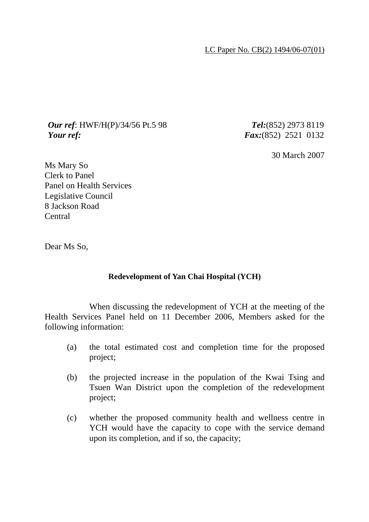LC Paper No. CB(2) 1494/06-07(01)

## *Our ref*: HWF/H(P)/34/56 Pt.5 98 *Tel:*(852) 2973 8119 *Your ref: Fax:*(852) 2521 0132

30 March 2007

Ms Mary So Clerk to Panel Panel on Health Services Legislative Council 8 Jackson Road Central

Dear Ms So,

## **Redevelopment of Yan Chai Hospital (YCH)**

 When discussing the redevelopment of YCH at the meeting of the Health Services Panel held on 11 December 2006, Members asked for the following information:

- (a) the total estimated cost and completion time for the proposed project;
- (b) the projected increase in the population of the Kwai Tsing and Tsuen Wan District upon the completion of the redevelopment project;
- (c) whether the proposed community health and wellness centre in YCH would have the capacity to cope with the service demand upon its completion, and if so, the capacity;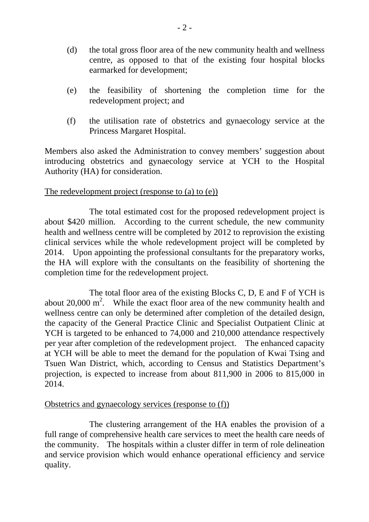- (d) the total gross floor area of the new community health and wellness centre, as opposed to that of the existing four hospital blocks earmarked for development;
- (e) the feasibility of shortening the completion time for the redevelopment project; and
- (f) the utilisation rate of obstetrics and gynaecology service at the Princess Margaret Hospital.

Members also asked the Administration to convey members' suggestion about introducing obstetrics and gynaecology service at YCH to the Hospital Authority (HA) for consideration.

## The redevelopment project (response to (a) to (e))

 The total estimated cost for the proposed redevelopment project is about \$420 million. According to the current schedule, the new community health and wellness centre will be completed by 2012 to reprovision the existing clinical services while the whole redevelopment project will be completed by 2014. Upon appointing the professional consultants for the preparatory works, the HA will explore with the consultants on the feasibility of shortening the completion time for the redevelopment project.

 The total floor area of the existing Blocks C, D, E and F of YCH is about 20,000  $m^2$ . While the exact floor area of the new community health and wellness centre can only be determined after completion of the detailed design, the capacity of the General Practice Clinic and Specialist Outpatient Clinic at YCH is targeted to be enhanced to 74,000 and 210,000 attendance respectively per year after completion of the redevelopment project. The enhanced capacity at YCH will be able to meet the demand for the population of Kwai Tsing and Tsuen Wan District, which, according to Census and Statistics Department's projection, is expected to increase from about 811,900 in 2006 to 815,000 in 2014.

## Obstetrics and gynaecology services (response to (f))

 The clustering arrangement of the HA enables the provision of a full range of comprehensive health care services to meet the health care needs of the community. The hospitals within a cluster differ in term of role delineation and service provision which would enhance operational efficiency and service quality.